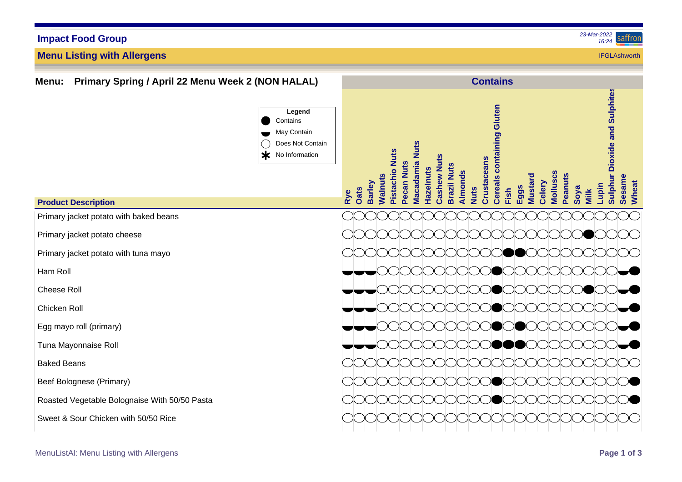# **Impact Food Group**

**Menu Listing with Allergens**

#### *23-Mar-2022* saffror *16:24*

**IFGI Ashworth** 

**Menu: Primary Spring / April 22 Menu Week 2 (NON HALAL) Contains Sulphur Dioxide and Sulphites Sulphur Dioxide and Sulphites Cereals containing Gluten Cereals containing Gluten Legend Contains** May Contain Does Not Contain **Macadamia Nuts Macadamia Nuts** Pistachio Nuts **Pistachio Nuts** Ж No Information **Cashew Nuts Cashew Nuts** Crustaceans **Crustaceans** Pecan Nuts **Pecan Nuts Srazil Nuts Brazil Nuts Hazelnuts Hazelnuts** Almonds **Walnuts Almonds** Molluscs **Molluscs Peanuts Sesame Mustard Celery Barley Wheat Lupin Eggs Oats Nuts Soya Fish Rye Milk Product Description** Primary jacket potato with baked beans Primary jacket potato cheese Primary jacket potato with tuna mayo Ham Roll Cheese Roll Chicken Roll Egg mayo roll (primary) Tuna Mayonnaise Roll Baked Beans Beef Bolognese (Primary) Roasted Vegetable Bolognaise With 50/50 Pasta Sweet & Sour Chicken with 50/50 Rice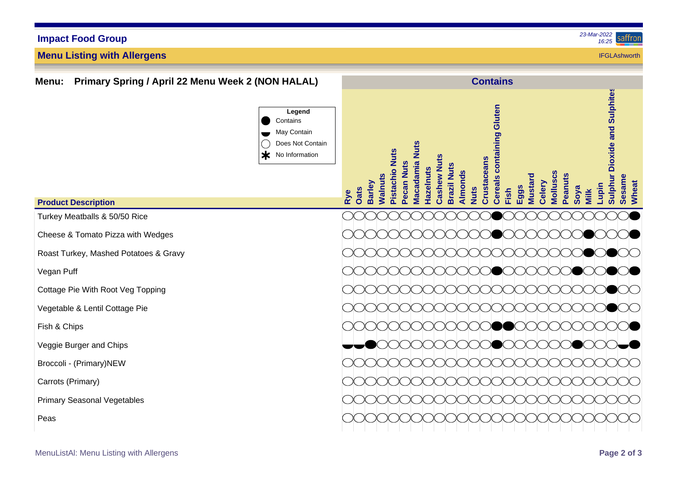# **Impact Food Group**

**Menu Listing with Allergens**

### *23-Mar-2022* saffror *16:25*

**IFGI Ashworth** 

**Menu: Primary Spring / April 22 Menu Week 2 (NON HALAL) Contains Sulphur Dioxide and Sulphites Sulphur Dioxide and Sulphites Cereals containing Gluten Cereals containing Gluten Legend Contains** May Contain Does Not Contain **Macadamia Nuts Macadamia Nuts** Pistachio Nuts **Pistachio Nuts**  $\star$ No Information **Cashew Nuts Cashew Nuts** Crustaceans **Crustaceans** Pecan Nuts **Pecan Nuts Brazil Nuts Brazil Nuts Hazelnuts Hazelnuts** Almonds **Walnuts Almonds** Molluscs **Molluscs Peanuts Sesame Mustard Celery Barley Wheat Lupin Eggs Oats Nuts Soya Fish Rye Milk Product Description** Turkey Meatballs & 50/50 Rice Cheese & Tomato Pizza with Wedges Roast Turkey, Mashed Potatoes & Gravy Vegan Puff Cottage Pie With Root Veg Topping Vegetable & Lentil Cottage Pie Fish & Chips Veggie Burger and Chips Broccoli - (Primary)NEW Carrots (Primary) Primary Seasonal Vegetables Peas